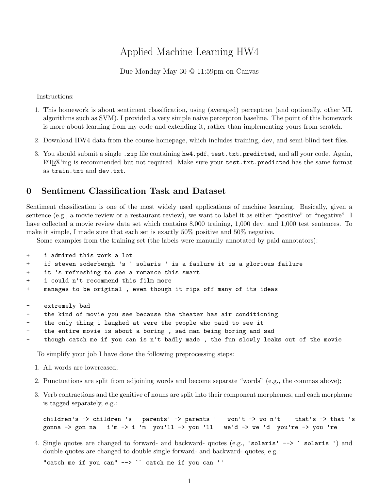# Applied Machine Learning HW4

#### Due Monday May 30 @ 11:59pm on Canvas

Instructions:

- 1. This homework is about sentiment classification, using (averaged) perceptron (and optionally, other ML algorithms such as SVM). I provided a very simple naive perceptron baseline. The point of this homework is more about learning from my code and extending it, rather than implementing yours from scratch.
- 2. Download HW4 data from the course homepage, which includes training, dev, and semi-blind test files.
- 3. You should submit a single .zip file containing hw4.pdf, test.txt.predicted, and all your code. Again, LATEX'ing is recommended but not required. Make sure your test.txt.predicted has the same format as train.txt and dev.txt.

#### 0 Sentiment Classification Task and Dataset

Sentiment classification is one of the most widely used applications of machine learning. Basically, given a sentence (e.g., a movie review or a restaurant review), we want to label it as either "positive" or "negative". I have collected a movie review data set which contains 8,000 training, 1,000 dev, and 1,000 test sentences. To make it simple, I made sure that each set is exactly 50% positive and 50% negative.

Some examples from the training set (the labels were manually annotated by paid annotators):

| $+$                             | i admired this work a lot                                                 |
|---------------------------------|---------------------------------------------------------------------------|
| $+$                             | if steven soderbergh 's ` solaris ' is a failure it is a glorious failure |
| $+$                             | it 's refreshing to see a romance this smart                              |
| $+$                             | i could n't recommend this film more                                      |
| $+$                             | manages to be original, even though it rips off many of its ideas         |
|                                 |                                                                           |
| $\sim$                          | extremely bad                                                             |
| $\frac{1}{2}$ and $\frac{1}{2}$ | the kind of movie you see because the theater has air conditioning        |
| $\sim$ .                        | the only thing i laughed at were the people who paid to see it            |

- the entire movie is about a boring, sad man being boring and sad
- though catch me if you can is n't badly made, the fun slowly leaks out of the movie

To simplify your job I have done the following preprocessing steps:

- 1. All words are lowercased;
- 2. Punctuations are split from adjoining words and become separate "words" (e.g., the commas above);
- 3. Verb contractions and the genitive of nouns are split into their component morphemes, and each morpheme is tagged separately, e.g.:

```
children's -> children 's parents' -> parents ' won't -> wo n't that's -> that 's
gonna -> gon na i'm -> i 'm you'll -> you 'll we'd -> we 'd you're -> you 're
```
4. Single quotes are changed to forward- and backward- quotes (e.g., 'solaris' --> ` solaris ') and double quotes are changed to double single forward- and backward- quotes, e.g.:

"catch me if you can"  $\rightarrow$   $\rightarrow$  catch me if you can ''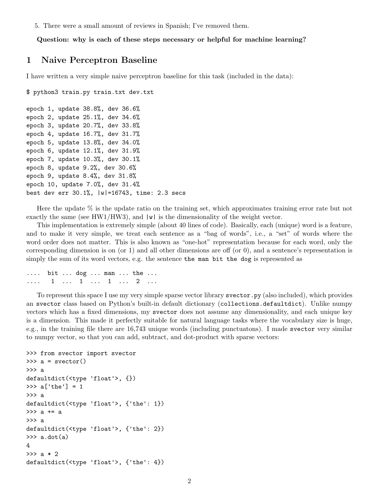5. There were a small amount of reviews in Spanish; I've removed them.

Question: why is each of these steps necessary or helpful for machine learning?

### 1 Naive Perceptron Baseline

I have written a very simple naive perceptron baseline for this task (included in the data):

```
$ python3 train.py train.txt dev.txt
```

```
epoch 1, update 38.8%, dev 36.6%
epoch 2, update 25.1%, dev 34.6%
epoch 3, update 20.7%, dev 33.8%
epoch 4, update 16.7%, dev 31.7%
epoch 5, update 13.8%, dev 34.0%
epoch 6, update 12.1%, dev 31.9%
epoch 7, update 10.3%, dev 30.1%
epoch 8, update 9.2%, dev 30.6%
epoch 9, update 8.4%, dev 31.8%
epoch 10, update 7.0%, dev 31.4%
best dev err 30.1%, |w|=16743, time: 2.3 secs
```
Here the update  $\%$  is the update ratio on the training set, which approximates training error rate but not exactly the same (see HW1/HW3), and  $|\mathbf{w}|$  is the dimensionality of the weight vector.

This implementation is extremely simple (about 40 lines of code). Basically, each (unique) word is a feature, and to make it very simple, we treat each sentence as a "bag of words", i.e., a "set" of words where the word order does not matter. This is also known as "one-hot" representation because for each word, only the corresponding dimension is on (or 1) and all other dimensions are off (or 0), and a sentence's representation is simply the sum of its word vectors, e.g. the sentence the man bit the dog is represented as

.... bit ... dog ... man ... the ... .... 1 ... 1 ... 1 ... 2 ...

To represent this space I use my very simple sparse vector library svector.py (also included), which provides an svector class based on Python's built-in default dictionary (collections.defaultdict). Unlike numpy vectors which has a fixed dimensions, my svector does not assume any dimensionality, and each unique key is a dimension. This made it perfectly suitable for natural language tasks where the vocabulary size is huge, e.g., in the training file there are 16,743 unique words (including punctuatons). I made svector very similar to numpy vector, so that you can add, subtract, and dot-product with sparse vectors:

```
>>> from svector import svector
\gg a = svector()
>>> a
defaultdict(<type 'float'>, {})
\gg a['the'] = 1
>>> a
defaultdict(<type 'float'>, {'the': 1})
>>> a += a
>>> a
defaultdict(<type 'float'>, {'the': 2})
\gg a.dot(a)4
>>> a * 2
defaultdict(<type 'float'>, {'the': 4})
```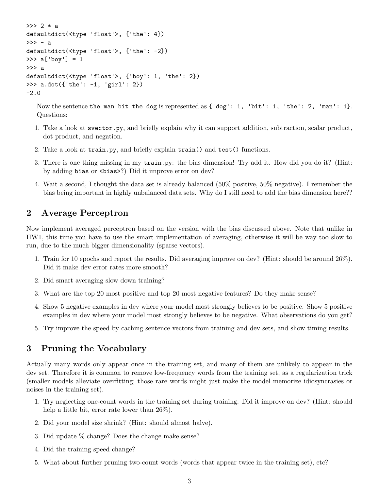```
>> 2 * adefaultdict(<type 'float'>, {'the': 4})
\gg - a
defaultdict(<type 'float'>, {'the': -2})
>> a['boy'] = 1>>> a
defaultdict(<type 'float'>, {'boy': 1, 'the': 2})
>>> a.dot({'the': -1, 'girl': 2})
-2.0
```
Now the sentence the man bit the dog is represented as  $\{\text{'dog'}: 1, \text{ 'bit'}: 1, \text{ 'the'}: 2, \text{ 'man'}: 1\}.$ Questions:

- 1. Take a look at svector.py, and briefly explain why it can support addition, subtraction, scalar product, dot product, and negation.
- 2. Take a look at train.py, and briefly explain train() and test() functions.
- 3. There is one thing missing in my train.py: the bias dimension! Try add it. How did you do it? (Hint: by adding bias or  $\langle \text{bias} \rangle$ ? Did it improve error on dev?
- 4. Wait a second, I thought the data set is already balanced (50% positive, 50% negative). I remember the bias being important in highly unbalanced data sets. Why do I still need to add the bias dimension here??

#### 2 Average Perceptron

Now implement averaged perceptron based on the version with the bias discussed above. Note that unlike in HW1, this time you have to use the smart implementation of averaging, otherwise it will be way too slow to run, due to the much bigger dimensionality (sparse vectors).

- 1. Train for 10 epochs and report the results. Did averaging improve on dev? (Hint: should be around 26%). Did it make dev error rates more smooth?
- 2. Did smart averaging slow down training?
- 3. What are the top 20 most positive and top 20 most negative features? Do they make sense?
- 4. Show 5 negative examples in dev where your model most strongly believes to be positive. Show 5 positive examples in dev where your model most strongly believes to be negative. What observations do you get?
- 5. Try improve the speed by caching sentence vectors from training and dev sets, and show timing results.

#### 3 Pruning the Vocabulary

Actually many words only appear once in the training set, and many of them are unlikely to appear in the dev set. Therefore it is common to remove low-frequency words from the training set, as a regularization trick (smaller models alleviate overfitting; those rare words might just make the model memorize idiosyncrasies or noises in the training set).

- 1. Try neglecting one-count words in the training set during training. Did it improve on dev? (Hint: should help a little bit, error rate lower than 26%).
- 2. Did your model size shrink? (Hint: should almost halve).
- 3. Did update % change? Does the change make sense?
- 4. Did the training speed change?
- 5. What about further pruning two-count words (words that appear twice in the training set), etc?